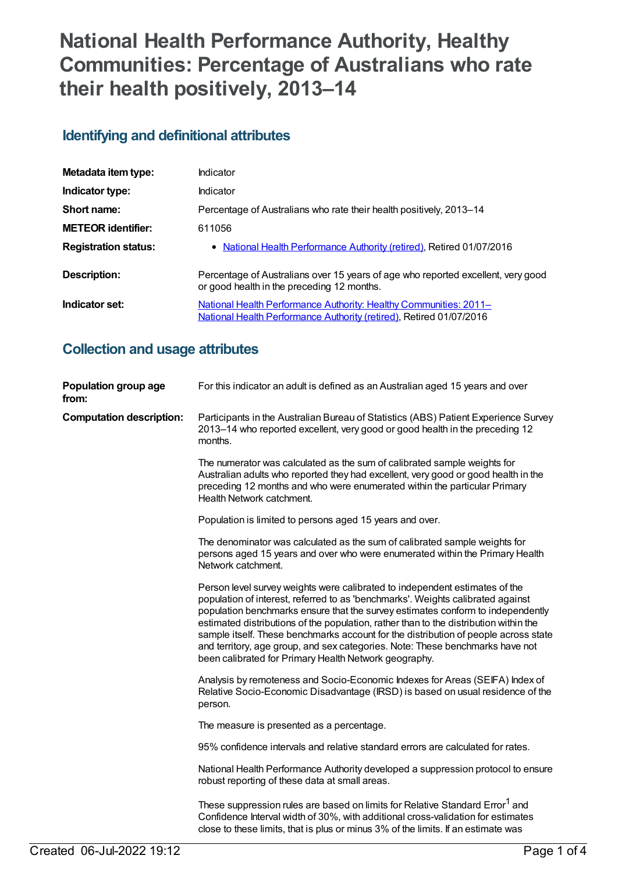# **National Health Performance Authority, Healthy Communities: Percentage of Australians who rate their health positively, 2013–14**

# **Identifying and definitional attributes**

| Metadata item type:         | Indicator                                                                                                                                |
|-----------------------------|------------------------------------------------------------------------------------------------------------------------------------------|
| Indicator type:             | Indicator                                                                                                                                |
| Short name:                 | Percentage of Australians who rate their health positively, 2013–14                                                                      |
| <b>METEOR</b> identifier:   | 611056                                                                                                                                   |
| <b>Registration status:</b> | • National Health Performance Authority (retired), Retired 01/07/2016                                                                    |
| Description:                | Percentage of Australians over 15 years of age who reported excellent, very good<br>or good health in the preceding 12 months.           |
| Indicator set:              | National Health Performance Authority: Healthy Communities: 2011-<br>National Health Performance Authority (retired), Retired 01/07/2016 |

#### **Collection and usage attributes**

| Population group age<br>from:   | For this indicator an adult is defined as an Australian aged 15 years and over                                                                                                                                                                                                                                                                                                                                                                                                                                                                                              |
|---------------------------------|-----------------------------------------------------------------------------------------------------------------------------------------------------------------------------------------------------------------------------------------------------------------------------------------------------------------------------------------------------------------------------------------------------------------------------------------------------------------------------------------------------------------------------------------------------------------------------|
| <b>Computation description:</b> | Participants in the Australian Bureau of Statistics (ABS) Patient Experience Survey<br>2013-14 who reported excellent, very good or good health in the preceding 12<br>months.                                                                                                                                                                                                                                                                                                                                                                                              |
|                                 | The numerator was calculated as the sum of calibrated sample weights for<br>Australian adults who reported they had excellent, very good or good health in the<br>preceding 12 months and who were enumerated within the particular Primary<br>Health Network catchment.                                                                                                                                                                                                                                                                                                    |
|                                 | Population is limited to persons aged 15 years and over.                                                                                                                                                                                                                                                                                                                                                                                                                                                                                                                    |
|                                 | The denominator was calculated as the sum of calibrated sample weights for<br>persons aged 15 years and over who were enumerated within the Primary Health<br>Network catchment.                                                                                                                                                                                                                                                                                                                                                                                            |
|                                 | Person level survey weights were calibrated to independent estimates of the<br>population of interest, referred to as 'benchmarks'. Weights calibrated against<br>population benchmarks ensure that the survey estimates conform to independently<br>estimated distributions of the population, rather than to the distribution within the<br>sample itself. These benchmarks account for the distribution of people across state<br>and territory, age group, and sex categories. Note: These benchmarks have not<br>been calibrated for Primary Health Network geography. |
|                                 | Analysis by remoteness and Socio-Economic Indexes for Areas (SEIFA) Index of<br>Relative Socio-Economic Disadvantage (IRSD) is based on usual residence of the<br>person.                                                                                                                                                                                                                                                                                                                                                                                                   |
|                                 | The measure is presented as a percentage.                                                                                                                                                                                                                                                                                                                                                                                                                                                                                                                                   |
|                                 | 95% confidence intervals and relative standard errors are calculated for rates.                                                                                                                                                                                                                                                                                                                                                                                                                                                                                             |
|                                 | National Health Performance Authority developed a suppression protocol to ensure<br>robust reporting of these data at small areas.                                                                                                                                                                                                                                                                                                                                                                                                                                          |
|                                 | These suppression rules are based on limits for Relative Standard Error <sup>1</sup> and<br>Confidence Interval width of 30%, with additional cross-validation for estimates<br>close to these limits, that is plus or minus 3% of the limits. If an estimate was                                                                                                                                                                                                                                                                                                           |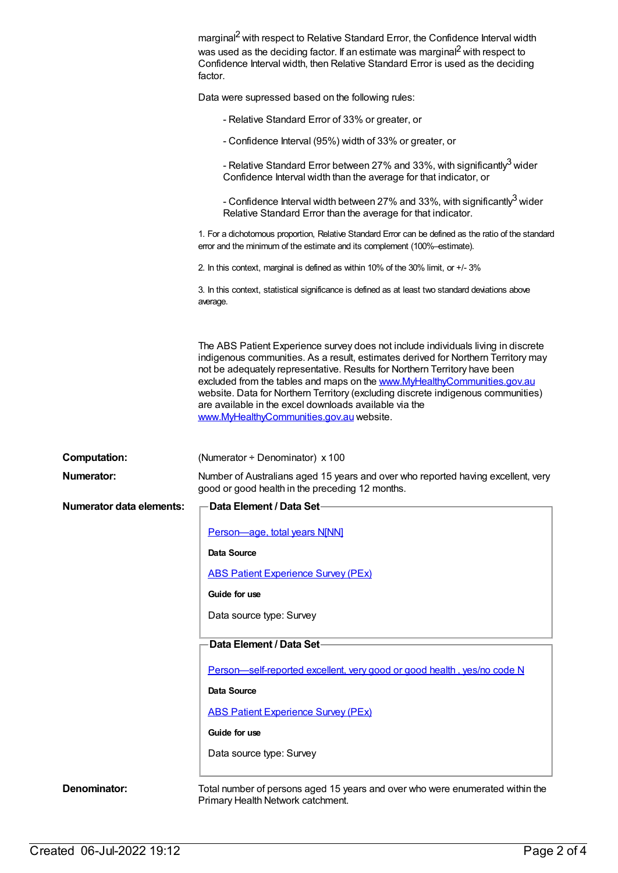|                                 | marginal <sup>2</sup> with respect to Relative Standard Error, the Confidence Interval width<br>was used as the deciding factor. If an estimate was marginal <sup>2</sup> with respect to<br>Confidence Interval width, then Relative Standard Error is used as the deciding<br>factor.                                                                                                                                                                                                                                    |
|---------------------------------|----------------------------------------------------------------------------------------------------------------------------------------------------------------------------------------------------------------------------------------------------------------------------------------------------------------------------------------------------------------------------------------------------------------------------------------------------------------------------------------------------------------------------|
|                                 | Data were supressed based on the following rules:                                                                                                                                                                                                                                                                                                                                                                                                                                                                          |
|                                 | - Relative Standard Error of 33% or greater, or                                                                                                                                                                                                                                                                                                                                                                                                                                                                            |
|                                 | - Confidence Interval (95%) width of 33% or greater, or                                                                                                                                                                                                                                                                                                                                                                                                                                                                    |
|                                 | - Relative Standard Error between 27% and 33%, with significantly <sup>3</sup> wider<br>Confidence Interval width than the average for that indicator, or                                                                                                                                                                                                                                                                                                                                                                  |
|                                 | - Confidence Interval width between 27% and 33%, with significantly <sup>3</sup> wider<br>Relative Standard Error than the average for that indicator.                                                                                                                                                                                                                                                                                                                                                                     |
|                                 | 1. For a dichotomous proportion, Relative Standard Error can be defined as the ratio of the standard<br>error and the minimum of the estimate and its complement (100%-estimate).                                                                                                                                                                                                                                                                                                                                          |
|                                 | 2. In this context, marginal is defined as within 10% of the 30% limit, or +/-3%                                                                                                                                                                                                                                                                                                                                                                                                                                           |
|                                 | 3. In this context, statistical significance is defined as at least two standard deviations above<br>average.                                                                                                                                                                                                                                                                                                                                                                                                              |
|                                 | The ABS Patient Experience survey does not include individuals living in discrete<br>indigenous communities. As a result, estimates derived for Northern Territory may<br>not be adequately representative. Results for Northern Territory have been<br>excluded from the tables and maps on the www.MyHealthyCommunities.gov.au<br>website. Data for Northern Territory (excluding discrete indigenous communities)<br>are available in the excel downloads available via the<br>www.MyHealthyCommunities.gov.au website. |
| <b>Computation:</b>             | (Numerator ÷ Denominator) x 100                                                                                                                                                                                                                                                                                                                                                                                                                                                                                            |
| Numerator:                      | Number of Australians aged 15 years and over who reported having excellent, very<br>good or good health in the preceding 12 months.                                                                                                                                                                                                                                                                                                                                                                                        |
| <b>Numerator data elements:</b> | Data Element / Data Set-                                                                                                                                                                                                                                                                                                                                                                                                                                                                                                   |
|                                 |                                                                                                                                                                                                                                                                                                                                                                                                                                                                                                                            |
|                                 | Person-age, total years N[NN]<br>Data Source                                                                                                                                                                                                                                                                                                                                                                                                                                                                               |
|                                 | <b>ABS Patient Experience Survey (PEx)</b>                                                                                                                                                                                                                                                                                                                                                                                                                                                                                 |
|                                 | Guide for use                                                                                                                                                                                                                                                                                                                                                                                                                                                                                                              |
|                                 | Data source type: Survey                                                                                                                                                                                                                                                                                                                                                                                                                                                                                                   |
|                                 | Data Element / Data Set-                                                                                                                                                                                                                                                                                                                                                                                                                                                                                                   |
|                                 | Person-self-reported excellent, very good or good health, yes/no code N                                                                                                                                                                                                                                                                                                                                                                                                                                                    |
|                                 | Data Source                                                                                                                                                                                                                                                                                                                                                                                                                                                                                                                |
|                                 | <b>ABS Patient Experience Survey (PEx)</b>                                                                                                                                                                                                                                                                                                                                                                                                                                                                                 |
|                                 | Guide for use                                                                                                                                                                                                                                                                                                                                                                                                                                                                                                              |
|                                 | Data source type: Survey                                                                                                                                                                                                                                                                                                                                                                                                                                                                                                   |
| Denominator:                    | Total number of persons aged 15 years and over who were enumerated within the<br>Primary Health Network catchment.                                                                                                                                                                                                                                                                                                                                                                                                         |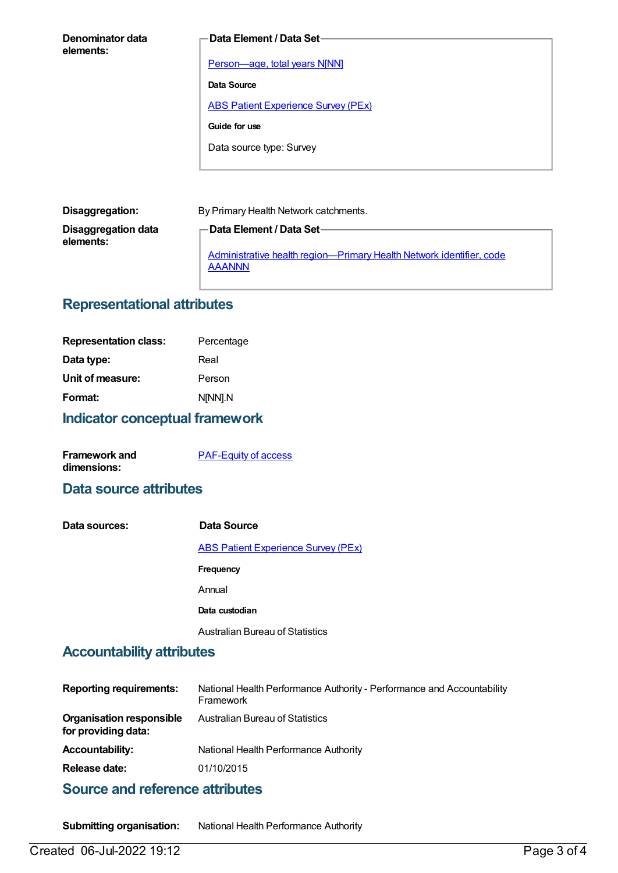| Denominator data<br>elements: | <b>Data Element / Data Set-</b>            |
|-------------------------------|--------------------------------------------|
|                               | Person-age, total years N[NN]              |
|                               | Data Source                                |
|                               | <b>ABS Patient Experience Survey (PEx)</b> |
|                               | Guide for use                              |
|                               | Data source type: Survey                   |
|                               |                                            |

| Disaggregation:                  | By Primary Health Network catchments.                                                 |
|----------------------------------|---------------------------------------------------------------------------------------|
| Disaggregation data<br>elements: | <b>←Data Element / Data Set</b> -                                                     |
|                                  | Administrative health region—Primary Health Network identifier, code<br><b>AAANNN</b> |

# **Representational attributes**

| <b>Representation class:</b> | Percentage |
|------------------------------|------------|
| Data type:                   | Real       |
| Unit of measure:             | Person     |
| Format:                      | N[NN].N    |
|                              |            |

# **Indicator conceptual framework**

| <b>Framework and</b> | <b>PAF-Equity of access</b> |
|----------------------|-----------------------------|
| dimensions:          |                             |

#### **Data source attributes**

| Data sources: | Data Source                                |
|---------------|--------------------------------------------|
|               | <b>ABS Patient Experience Survey (PEx)</b> |
|               | Frequency                                  |
|               | Annual                                     |
|               | Data custodian                             |
|               | <b>Australian Bureau of Statistics</b>     |

#### **Accountability attributes**

| <b>Reporting requirements:</b>                         | National Health Performance Authority - Performance and Accountability<br>Framework |
|--------------------------------------------------------|-------------------------------------------------------------------------------------|
| <b>Organisation responsible</b><br>for providing data: | <b>Australian Bureau of Statistics</b>                                              |
| <b>Accountability:</b>                                 | National Health Performance Authority                                               |
| Release date:                                          | 01/10/2015                                                                          |

### **Source and reference attributes**

**Submitting organisation:** National Health Performance Authority